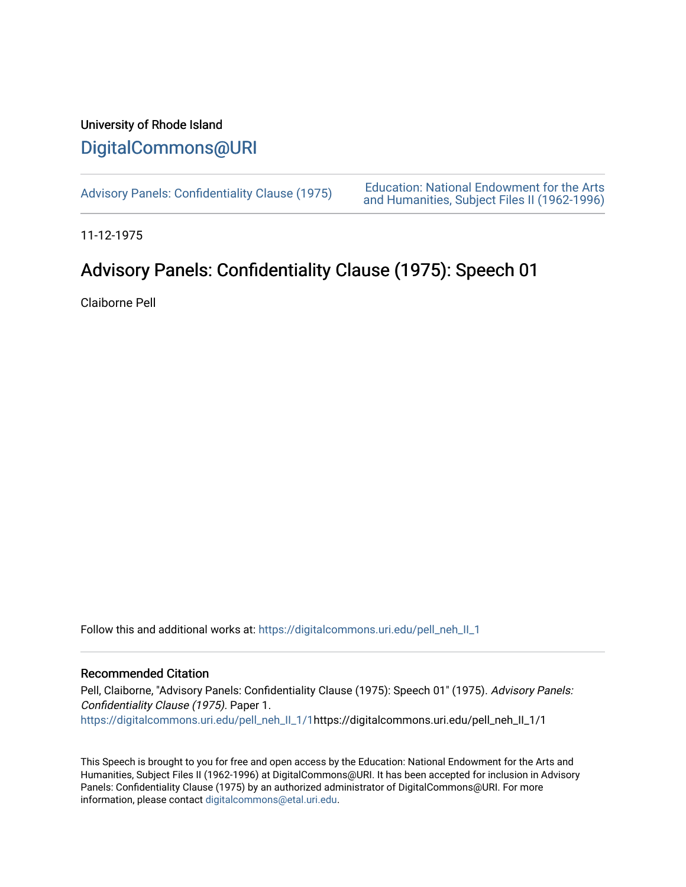## University of Rhode Island [DigitalCommons@URI](https://digitalcommons.uri.edu/)

[Advisory Panels: Confidentiality Clause \(1975\)](https://digitalcommons.uri.edu/pell_neh_II_1) [Education: National Endowment for the Arts](https://digitalcommons.uri.edu/pell_neh_II)  [and Humanities, Subject Files II \(1962-1996\)](https://digitalcommons.uri.edu/pell_neh_II) 

11-12-1975

## Advisory Panels: Confidentiality Clause (1975): Speech 01

Claiborne Pell

Follow this and additional works at: [https://digitalcommons.uri.edu/pell\\_neh\\_II\\_1](https://digitalcommons.uri.edu/pell_neh_II_1?utm_source=digitalcommons.uri.edu%2Fpell_neh_II_1%2F1&utm_medium=PDF&utm_campaign=PDFCoverPages) 

## Recommended Citation

Pell, Claiborne, "Advisory Panels: Confidentiality Clause (1975): Speech 01" (1975). Advisory Panels: Confidentiality Clause (1975). Paper 1. [https://digitalcommons.uri.edu/pell\\_neh\\_II\\_1/1](https://digitalcommons.uri.edu/pell_neh_II_1/1?utm_source=digitalcommons.uri.edu%2Fpell_neh_II_1%2F1&utm_medium=PDF&utm_campaign=PDFCoverPages)https://digitalcommons.uri.edu/pell\_neh\_II\_1/1

This Speech is brought to you for free and open access by the Education: National Endowment for the Arts and Humanities, Subject Files II (1962-1996) at DigitalCommons@URI. It has been accepted for inclusion in Advisory Panels: Confidentiality Clause (1975) by an authorized administrator of DigitalCommons@URI. For more information, please contact [digitalcommons@etal.uri.edu.](mailto:digitalcommons@etal.uri.edu)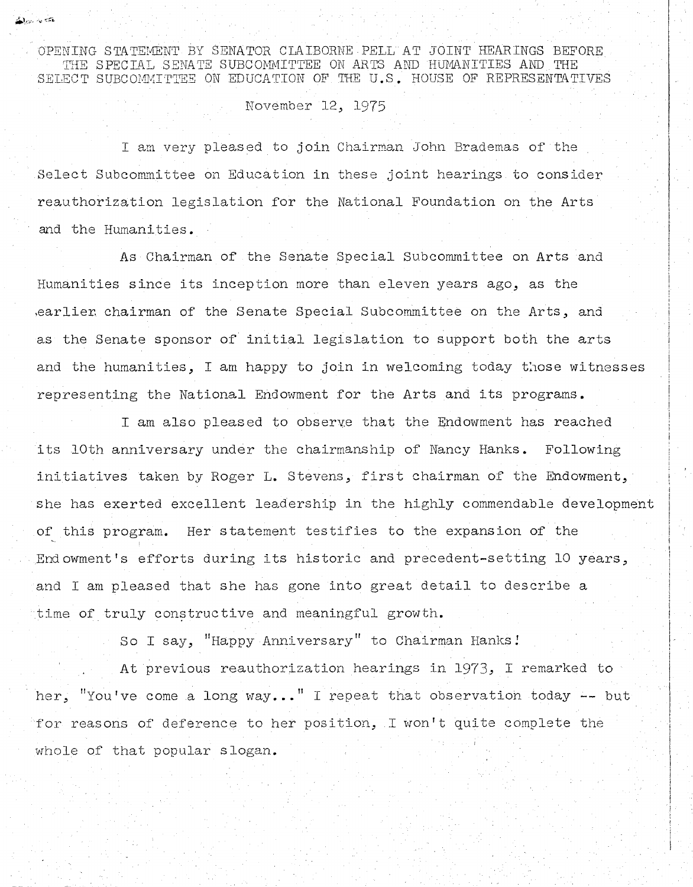OPENING STATEMENT BY SENATOR CLAIBORNE PELL AT JOINT HEARINGS BEFORE THE SPECIAL SENATE SUBCOMMITTEE ON ARTS AND HUMANITIES AND THE SELECT SUBCOMMITTEE ON EDUCATION OF THE U.S. HOUSE OF REPRESENTATIVES

## November 12, 1975

يتجابها الطابطة

I am very pleased to join Chairman John Brademas of the Select Subcommittee on Education in these joint hearings to consider reauthorization legislation for the National Foundation on the Arts and the Humanities.

As Chairman of the Senate Special Subcommittee on Arts and Humanities since its inception more than eleven years ago, as the , earlier chairman of the Senate Special Subcommittee on the Arts, and as the Senate sponsor of initial legislation to support both the arts and the humanities, I am happy to join in welcoming today those witnesses representing the National Endowment for the Arts and its programs.

I am also pleased to observe that the Endowment has reached its 10th anniversary under the chairmanship of Nancy Hanks. Following initiatives taken by Roger L. Stevens, first chairman of the Endowment, she has exerted excellent leadership in the highly commendable development of this program. Her statement testifies to the expansion of the Endowment's efforts during its historic and precedent-setting 10 years, and I am pleased that she has gone into great detail to describe a time of truly constructive and meaningful growth.

So I say, "Happy Anniversary" to Chairman Hanks!

At previous reauthorization hearings in 1973, I remarked to her, "You've come a long way..." I repeat that observation today  $-$  but for reasons of deference to her position, I won't quite complete the whole of that popular slogan.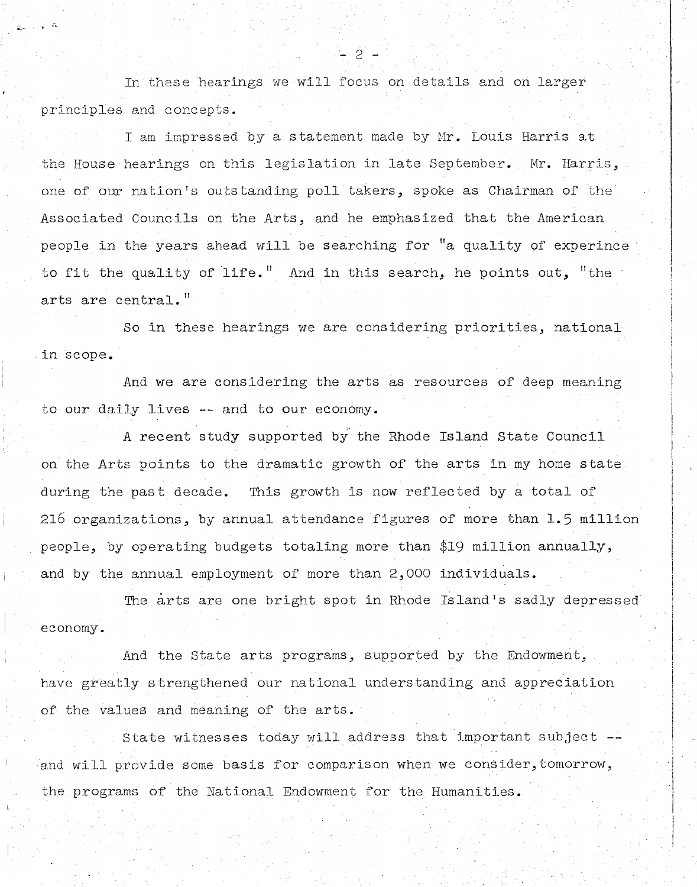In these hearings we will focus on details and on larger principles and concepts.

 $\zeta_{\rm L}$ 

I am impressed by a statement made by Mr. Louis Harris at the House hearings on this legislation in late September. Mr. Harris, one of our nation's outstanding poll takers, spoke as Chairman of the Associated Councils on the Arts, and he emphasized that the American people in the years ahead will be searching for "a quality of experince to fit the quality of life." And in this search, he points out, "the arts are central."

So in these hearings we are considering priorities, national in scope.

And we are considering the arts as resources of deep meaning to our daily lives -- and to our economy.

A recent study supported by the Rhode Island State Council on the Arts points to the dramatic growth of the arts in my home state during the past decade. This growth is now reflected by a total of 216 organizations, by annual attendance figures of more than 1.5 million people, by operating budgets totaling more than \$19 million annually, and by the annual employment of more than 2,000 individuals.

The arts are one bright spot in Rhode Island's sadly depressed economy.

And the State arts programs, supported by the Endowment, have greatly strengthened our national understanding and appreciation of the values and meaning of the arts.

State witnesses today will address that important subject -and will provide some basis for comparison when we consider, tomorrow, the programs of the National Endowment for the Humanities.

- 2 -